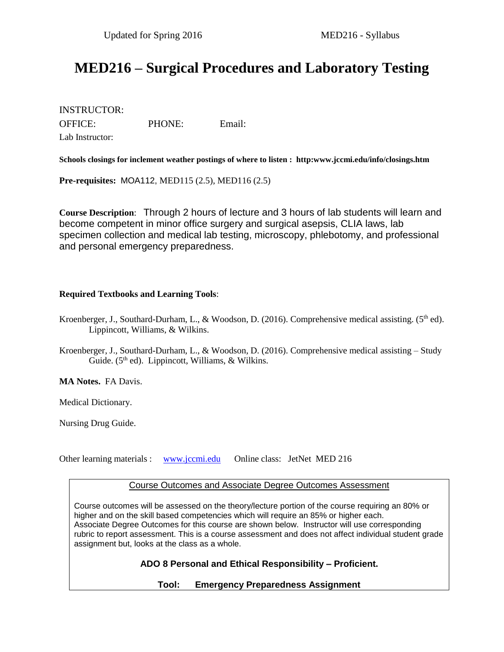# **MED216 – Surgical Procedures and Laboratory Testing**

INSTRUCTOR: OFFICE: PHONE: Email: Lab Instructor:

**Schools closings for inclement weather postings of where to listen : http:www.jccmi.edu/info/closings.htm**

**Pre-requisites:** MOA112, MED115 (2.5), MED116 (2.5)

**Course Description**: Through 2 hours of lecture and 3 hours of lab students will learn and become competent in minor office surgery and surgical asepsis, CLIA laws, lab specimen collection and medical lab testing, microscopy, phlebotomy, and professional and personal emergency preparedness.

#### **Required Textbooks and Learning Tools**:

- Kroenberger, J., Southard-Durham, L., & Woodson, D. (2016). Comprehensive medical assisting. (5<sup>th</sup> ed). Lippincott, Williams, & Wilkins.
- Kroenberger, J., Southard-Durham, L., & Woodson, D. (2016). Comprehensive medical assisting Study Guide. (5<sup>th</sup> ed). Lippincott, Williams, & Wilkins.

**MA Notes.** FA Davis.

Medical Dictionary.

Nursing Drug Guide.

Other learning materials : [www.jccmi.edu](http://www.jccmi.edu/) Online class: JetNet MED 216

#### Course Outcomes and Associate Degree Outcomes Assessment

Course outcomes will be assessed on the theory/lecture portion of the course requiring an 80% or higher and on the skill based competencies which will require an 85% or higher each. Associate Degree Outcomes for this course are shown below. Instructor will use corresponding rubric to report assessment. This is a course assessment and does not affect individual student grade assignment but, looks at the class as a whole.

**ADO 8 Personal and Ethical Responsibility – Proficient.**

**Tool: Emergency Preparedness Assignment**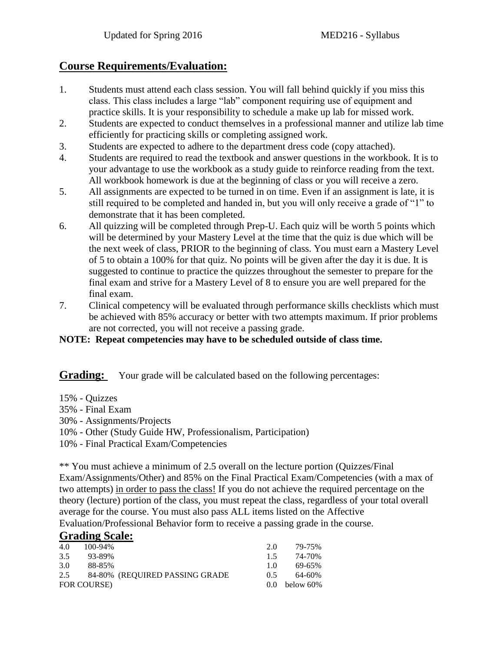## **Course Requirements/Evaluation:**

- 1. Students must attend each class session. You will fall behind quickly if you miss this class. This class includes a large "lab" component requiring use of equipment and practice skills. It is your responsibility to schedule a make up lab for missed work.
- 2. Students are expected to conduct themselves in a professional manner and utilize lab time efficiently for practicing skills or completing assigned work.
- 3. Students are expected to adhere to the department dress code (copy attached).
- 4. Students are required to read the textbook and answer questions in the workbook. It is to your advantage to use the workbook as a study guide to reinforce reading from the text. All workbook homework is due at the beginning of class or you will receive a zero.
- 5. All assignments are expected to be turned in on time. Even if an assignment is late, it is still required to be completed and handed in, but you will only receive a grade of "1" to demonstrate that it has been completed.
- 6. All quizzing will be completed through Prep-U. Each quiz will be worth 5 points which will be determined by your Mastery Level at the time that the quiz is due which will be the next week of class, PRIOR to the beginning of class. You must earn a Mastery Level of 5 to obtain a 100% for that quiz. No points will be given after the day it is due. It is suggested to continue to practice the quizzes throughout the semester to prepare for the final exam and strive for a Mastery Level of 8 to ensure you are well prepared for the final exam.
- 7. Clinical competency will be evaluated through performance skills checklists which must be achieved with 85% accuracy or better with two attempts maximum. If prior problems are not corrected, you will not receive a passing grade.

## **NOTE: Repeat competencies may have to be scheduled outside of class time.**

**Grading:** Your grade will be calculated based on the following percentages:

- 15% Quizzes
- 35% Final Exam
- 30% Assignments/Projects
- 10% Other (Study Guide HW, Professionalism, Participation)
- 10% Final Practical Exam/Competencies

\*\* You must achieve a minimum of 2.5 overall on the lecture portion (Quizzes/Final Exam/Assignments/Other) and 85% on the Final Practical Exam/Competencies (with a max of two attempts) in order to pass the class! If you do not achieve the required percentage on the theory (lecture) portion of the class, you must repeat the class, regardless of your total overall average for the course. You must also pass ALL items listed on the Affective Evaluation/Professional Behavior form to receive a passing grade in the course.

## **Grading Scale:**

| 4.0 | 100-94%     |                                | 20             | 79-75%          |
|-----|-------------|--------------------------------|----------------|-----------------|
| 3.5 | 93-89%      |                                | 15             | 74-70%          |
| 3.0 | 88-85%      |                                | 1 <sub>0</sub> | 69-65%          |
| 2.5 |             | 84-80% (REQUIRED PASSING GRADE | 05             | 64-60%          |
|     | FOR COURSE) |                                |                | $0.0$ below 60% |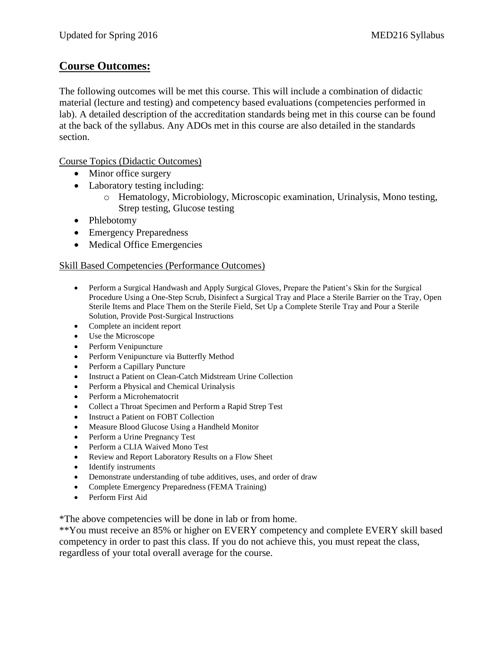## **Course Outcomes:**

The following outcomes will be met this course. This will include a combination of didactic material (lecture and testing) and competency based evaluations (competencies performed in lab). A detailed description of the accreditation standards being met in this course can be found at the back of the syllabus. Any ADOs met in this course are also detailed in the standards section.

Course Topics (Didactic Outcomes)

- Minor office surgery
- Laboratory testing including:
	- o Hematology, Microbiology, Microscopic examination, Urinalysis, Mono testing, Strep testing, Glucose testing
- Phlebotomy
- Emergency Preparedness
- Medical Office Emergencies

#### Skill Based Competencies (Performance Outcomes)

- Perform a Surgical Handwash and Apply Surgical Gloves, Prepare the Patient's Skin for the Surgical Procedure Using a One-Step Scrub, Disinfect a Surgical Tray and Place a Sterile Barrier on the Tray, Open Sterile Items and Place Them on the Sterile Field, Set Up a Complete Sterile Tray and Pour a Sterile Solution, Provide Post-Surgical Instructions
- Complete an incident report
- Use the Microscope
- Perform Venipuncture
- Perform Venipuncture via Butterfly Method
- Perform a Capillary Puncture
- Instruct a Patient on Clean-Catch Midstream Urine Collection
- Perform a Physical and Chemical Urinalysis
- Perform a Microhematocrit
- Collect a Throat Specimen and Perform a Rapid Strep Test
- Instruct a Patient on FOBT Collection
- Measure Blood Glucose Using a Handheld Monitor
- Perform a Urine Pregnancy Test
- Perform a CLIA Waived Mono Test
- Review and Report Laboratory Results on a Flow Sheet
- Identify instruments
- Demonstrate understanding of tube additives, uses, and order of draw
- Complete Emergency Preparedness (FEMA Training)
- Perform First Aid

\*The above competencies will be done in lab or from home.

\*\*You must receive an 85% or higher on EVERY competency and complete EVERY skill based competency in order to past this class. If you do not achieve this, you must repeat the class, regardless of your total overall average for the course.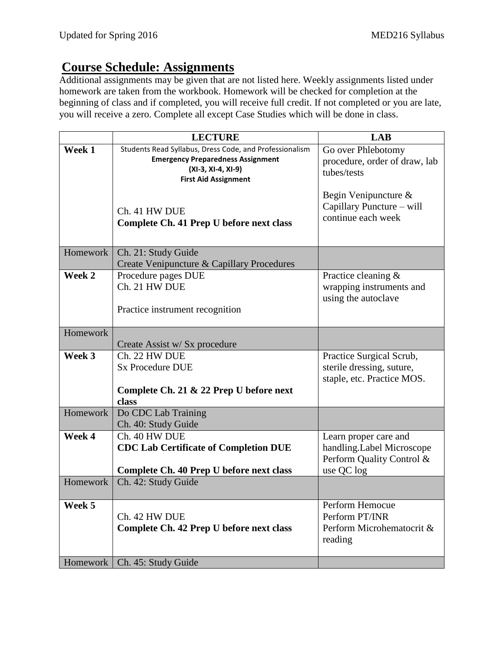# **Course Schedule: Assignments**

Additional assignments may be given that are not listed here. Weekly assignments listed under homework are taken from the workbook. Homework will be checked for completion at the beginning of class and if completed, you will receive full credit. If not completed or you are late, you will receive a zero. Complete all except Case Studies which will be done in class.

|          | <b>LECTURE</b>                                                                                                                                           | <b>LAB</b>                                                                                    |
|----------|----------------------------------------------------------------------------------------------------------------------------------------------------------|-----------------------------------------------------------------------------------------------|
| Week 1   | Students Read Syllabus, Dress Code, and Professionalism<br><b>Emergency Preparedness Assignment</b><br>(XI-3, XI-4, XI-9)<br><b>First Aid Assignment</b> | Go over Phlebotomy<br>procedure, order of draw, lab<br>tubes/tests<br>Begin Venipuncture &    |
|          | Ch. 41 HW DUE<br>Complete Ch. 41 Prep U before next class                                                                                                | Capillary Puncture - will<br>continue each week                                               |
| Homework | Ch. 21: Study Guide<br>Create Venipuncture & Capillary Procedures                                                                                        |                                                                                               |
| Week 2   | Procedure pages DUE<br>Ch. 21 HW DUE<br>Practice instrument recognition                                                                                  | Practice cleaning &<br>wrapping instruments and<br>using the autoclave                        |
| Homework | Create Assist w/ Sx procedure                                                                                                                            |                                                                                               |
| Week 3   | Ch. 22 HW DUE<br><b>Sx Procedure DUE</b><br>Complete Ch. 21 & 22 Prep U before next<br>class                                                             | Practice Surgical Scrub,<br>sterile dressing, suture,<br>staple, etc. Practice MOS.           |
| Homework | Do CDC Lab Training<br>Ch. 40: Study Guide                                                                                                               |                                                                                               |
| Week 4   | Ch. 40 HW DUE<br><b>CDC Lab Certificate of Completion DUE</b><br>Complete Ch. 40 Prep U before next class                                                | Learn proper care and<br>handling.Label Microscope<br>Perform Quality Control &<br>use QC log |
| Homework | Ch. 42: Study Guide                                                                                                                                      |                                                                                               |
| Week 5   | Ch. 42 HW DUE<br>Complete Ch. 42 Prep U before next class                                                                                                | Perform Hemocue<br>Perform PT/INR<br>Perform Microhematocrit &<br>reading                     |
| Homework | Ch. 45: Study Guide                                                                                                                                      |                                                                                               |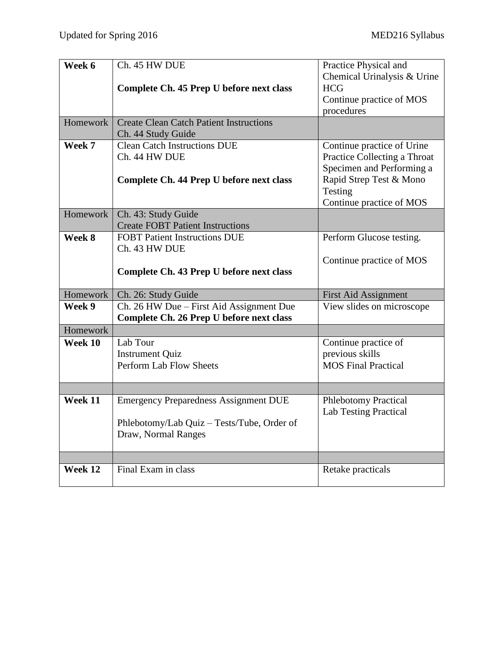| Week 6   | Ch. 45 HW DUE                                  | Practice Physical and        |
|----------|------------------------------------------------|------------------------------|
|          |                                                | Chemical Urinalysis & Urine  |
|          | Complete Ch. 45 Prep U before next class       | <b>HCG</b>                   |
|          |                                                | Continue practice of MOS     |
|          |                                                | procedures                   |
| Homework | <b>Create Clean Catch Patient Instructions</b> |                              |
|          | Ch. 44 Study Guide                             |                              |
| Week 7   | <b>Clean Catch Instructions DUE</b>            | Continue practice of Urine   |
|          | Ch. 44 HW DUE                                  | Practice Collecting a Throat |
|          |                                                | Specimen and Performing a    |
|          | Complete Ch. 44 Prep U before next class       | Rapid Strep Test & Mono      |
|          |                                                | Testing                      |
|          |                                                | Continue practice of MOS     |
| Homework | Ch. 43: Study Guide                            |                              |
|          | <b>Create FOBT Patient Instructions</b>        |                              |
| Week 8   | <b>FOBT Patient Instructions DUE</b>           | Perform Glucose testing.     |
|          | Ch. 43 HW DUE                                  |                              |
|          |                                                | Continue practice of MOS     |
|          | Complete Ch. 43 Prep U before next class       |                              |
| Homework | Ch. 26: Study Guide                            | First Aid Assignment         |
|          |                                                |                              |
| Week 9   | Ch. 26 HW Due - First Aid Assignment Due       | View slides on microscope    |
|          | Complete Ch. 26 Prep U before next class       |                              |
| Homework |                                                |                              |
| Week 10  | Lab Tour                                       | Continue practice of         |
|          | <b>Instrument Quiz</b>                         | previous skills              |
|          | Perform Lab Flow Sheets                        | <b>MOS Final Practical</b>   |
|          |                                                |                              |
|          |                                                |                              |
| Week 11  | <b>Emergency Preparedness Assignment DUE</b>   | <b>Phlebotomy Practical</b>  |
|          |                                                | <b>Lab Testing Practical</b> |
|          | Phlebotomy/Lab Quiz - Tests/Tube, Order of     |                              |
|          | Draw, Normal Ranges                            |                              |
|          |                                                |                              |
|          |                                                |                              |
| Week 12  | Final Exam in class                            | Retake practicals            |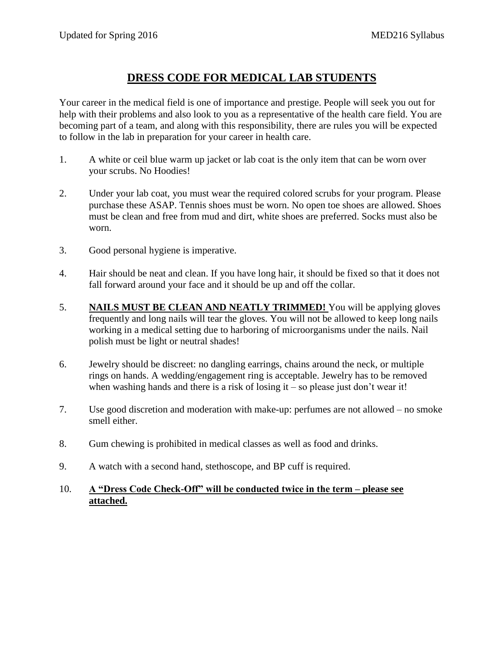# **DRESS CODE FOR MEDICAL LAB STUDENTS**

Your career in the medical field is one of importance and prestige. People will seek you out for help with their problems and also look to you as a representative of the health care field. You are becoming part of a team, and along with this responsibility, there are rules you will be expected to follow in the lab in preparation for your career in health care.

- 1. A white or ceil blue warm up jacket or lab coat is the only item that can be worn over your scrubs. No Hoodies!
- 2. Under your lab coat, you must wear the required colored scrubs for your program. Please purchase these ASAP. Tennis shoes must be worn. No open toe shoes are allowed. Shoes must be clean and free from mud and dirt, white shoes are preferred. Socks must also be worn.
- 3. Good personal hygiene is imperative.
- 4. Hair should be neat and clean. If you have long hair, it should be fixed so that it does not fall forward around your face and it should be up and off the collar.
- 5. **NAILS MUST BE CLEAN AND NEATLY TRIMMED!** You will be applying gloves frequently and long nails will tear the gloves. You will not be allowed to keep long nails working in a medical setting due to harboring of microorganisms under the nails. Nail polish must be light or neutral shades!
- 6. Jewelry should be discreet: no dangling earrings, chains around the neck, or multiple rings on hands. A wedding/engagement ring is acceptable. Jewelry has to be removed when washing hands and there is a risk of losing it – so please just don't wear it!
- 7. Use good discretion and moderation with make-up: perfumes are not allowed no smoke smell either.
- 8. Gum chewing is prohibited in medical classes as well as food and drinks.
- 9. A watch with a second hand, stethoscope, and BP cuff is required.
- 10. **A "Dress Code Check-Off" will be conducted twice in the term – please see attached.**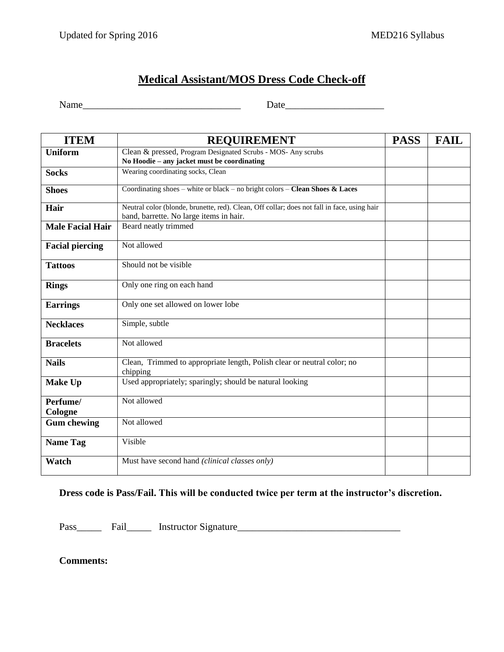# **Medical Assistant/MOS Dress Code Check-off**

Name\_\_\_\_\_\_\_\_\_\_\_\_\_\_\_\_\_\_\_\_\_\_\_\_\_\_\_\_\_\_\_\_ Date\_\_\_\_\_\_\_\_\_\_\_\_\_\_\_\_\_\_\_\_

| <b>ITEM</b>             | <b>REQUIREMENT</b>                                                                                                                     | <b>PASS</b> | <b>FAIL</b> |
|-------------------------|----------------------------------------------------------------------------------------------------------------------------------------|-------------|-------------|
| <b>Uniform</b>          | Clean & pressed, Program Designated Scrubs - MOS- Any scrubs<br>No Hoodie – any jacket must be coordinating                            |             |             |
| <b>Socks</b>            | Wearing coordinating socks, Clean                                                                                                      |             |             |
| <b>Shoes</b>            | Coordinating shoes – white or black – no bright colors – Clean Shoes & Laces                                                           |             |             |
| Hair                    | Neutral color (blonde, brunette, red). Clean, Off collar; does not fall in face, using hair<br>band, barrette. No large items in hair. |             |             |
| <b>Male Facial Hair</b> | Beard neatly trimmed                                                                                                                   |             |             |
| <b>Facial piercing</b>  | Not allowed                                                                                                                            |             |             |
| <b>Tattoos</b>          | Should not be visible                                                                                                                  |             |             |
| <b>Rings</b>            | Only one ring on each hand                                                                                                             |             |             |
| <b>Earrings</b>         | Only one set allowed on lower lobe                                                                                                     |             |             |
| <b>Necklaces</b>        | Simple, subtle                                                                                                                         |             |             |
| <b>Bracelets</b>        | Not allowed                                                                                                                            |             |             |
| <b>Nails</b>            | Clean, Trimmed to appropriate length, Polish clear or neutral color; no<br>chipping                                                    |             |             |
| <b>Make Up</b>          | Used appropriately; sparingly; should be natural looking                                                                               |             |             |
| Perfume/<br>Cologne     | Not allowed                                                                                                                            |             |             |
| <b>Gum chewing</b>      | Not allowed                                                                                                                            |             |             |
| <b>Name Tag</b>         | Visible                                                                                                                                |             |             |
| Watch                   | Must have second hand (clinical classes only)                                                                                          |             |             |

### **Dress code is Pass/Fail. This will be conducted twice per term at the instructor's discretion.**

Pass\_\_\_\_\_ Fail\_\_\_\_\_ Instructor Signature\_\_\_\_\_\_\_\_\_\_\_\_\_\_\_\_\_\_\_\_\_\_\_\_\_\_\_\_\_\_\_\_\_

**Comments:**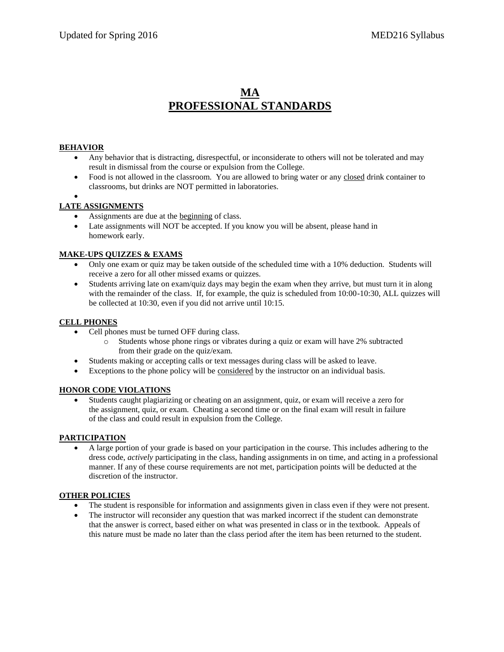## **MA PROFESSIONAL STANDARDS**

#### **BEHAVIOR**

- Any behavior that is distracting, disrespectful, or inconsiderate to others will not be tolerated and may result in dismissal from the course or expulsion from the College.
- Food is not allowed in the classroom. You are allowed to bring water or any closed drink container to classrooms, but drinks are NOT permitted in laboratories.

## $\bullet$

- **LATE ASSIGNMENTS**
	- Assignments are due at the beginning of class.
	- Late assignments will NOT be accepted. If you know you will be absent, please hand in homework early.

#### **MAKE-UPS QUIZZES & EXAMS**

- Only one exam or quiz may be taken outside of the scheduled time with a 10% deduction. Students will receive a zero for all other missed exams or quizzes.
- Students arriving late on exam/quiz days may begin the exam when they arrive, but must turn it in along with the remainder of the class. If, for example, the quiz is scheduled from 10:00-10:30, ALL quizzes will be collected at 10:30, even if you did not arrive until 10:15.

#### **CELL PHONES**

- Cell phones must be turned OFF during class.
	- o Students whose phone rings or vibrates during a quiz or exam will have 2% subtracted from their grade on the quiz/exam.
- Students making or accepting calls or text messages during class will be asked to leave.
- Exceptions to the phone policy will be considered by the instructor on an individual basis.

#### **HONOR CODE VIOLATIONS**

 Students caught plagiarizing or cheating on an assignment, quiz, or exam will receive a zero for the assignment, quiz, or exam. Cheating a second time or on the final exam will result in failure of the class and could result in expulsion from the College.

#### **PARTICIPATION**

 A large portion of your grade is based on your participation in the course. This includes adhering to the dress code, *actively* participating in the class, handing assignments in on time, and acting in a professional manner. If any of these course requirements are not met, participation points will be deducted at the discretion of the instructor.

#### **OTHER POLICIES**

- The student is responsible for information and assignments given in class even if they were not present.
- The instructor will reconsider any question that was marked incorrect if the student can demonstrate that the answer is correct, based either on what was presented in class or in the textbook. Appeals of this nature must be made no later than the class period after the item has been returned to the student.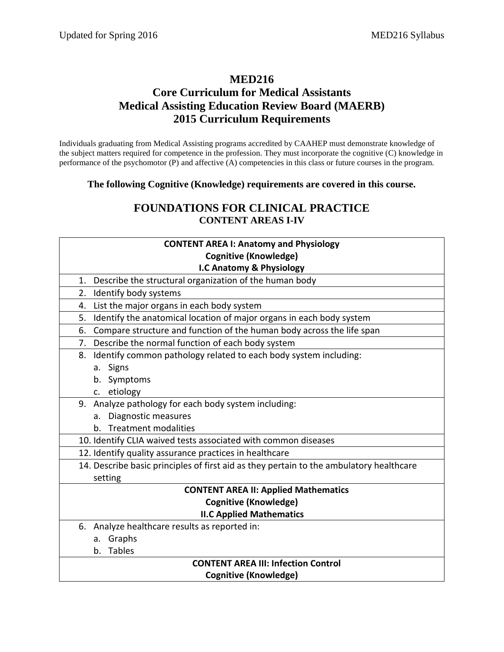## **MED216 Core Curriculum for Medical Assistants Medical Assisting Education Review Board (MAERB) 2015 Curriculum Requirements**

Individuals graduating from Medical Assisting programs accredited by CAAHEP must demonstrate knowledge of the subject matters required for competence in the profession. They must incorporate the cognitive (C) knowledge in performance of the psychomotor (P) and affective (A) competencies in this class or future courses in the program.

**The following Cognitive (Knowledge) requirements are covered in this course.**

## **FOUNDATIONS FOR CLINICAL PRACTICE CONTENT AREAS I-IV**

| <b>CONTENT AREA I: Anatomy and Physiology</b>                                           |  |  |  |  |
|-----------------------------------------------------------------------------------------|--|--|--|--|
| <b>Cognitive (Knowledge)</b>                                                            |  |  |  |  |
| I.C Anatomy & Physiology                                                                |  |  |  |  |
| Describe the structural organization of the human body<br>1.                            |  |  |  |  |
| Identify body systems<br>2.                                                             |  |  |  |  |
| List the major organs in each body system<br>4.                                         |  |  |  |  |
| Identify the anatomical location of major organs in each body system<br>5.              |  |  |  |  |
| Compare structure and function of the human body across the life span<br>6.             |  |  |  |  |
| Describe the normal function of each body system<br>7.                                  |  |  |  |  |
| Identify common pathology related to each body system including:<br>8.                  |  |  |  |  |
| a. Signs                                                                                |  |  |  |  |
| b. Symptoms                                                                             |  |  |  |  |
| c. etiology                                                                             |  |  |  |  |
| 9. Analyze pathology for each body system including:                                    |  |  |  |  |
| Diagnostic measures<br>a.                                                               |  |  |  |  |
| b. Treatment modalities                                                                 |  |  |  |  |
| 10. Identify CLIA waived tests associated with common diseases                          |  |  |  |  |
| 12. Identify quality assurance practices in healthcare                                  |  |  |  |  |
| 14. Describe basic principles of first aid as they pertain to the ambulatory healthcare |  |  |  |  |
| setting                                                                                 |  |  |  |  |
| <b>CONTENT AREA II: Applied Mathematics</b>                                             |  |  |  |  |
| <b>Cognitive (Knowledge)</b>                                                            |  |  |  |  |
| <b>II.C Applied Mathematics</b>                                                         |  |  |  |  |
| Analyze healthcare results as reported in:<br>6.                                        |  |  |  |  |
| a. Graphs                                                                               |  |  |  |  |
| b. Tables                                                                               |  |  |  |  |
| <b>CONTENT AREA III: Infection Control</b>                                              |  |  |  |  |
| <b>Cognitive (Knowledge)</b>                                                            |  |  |  |  |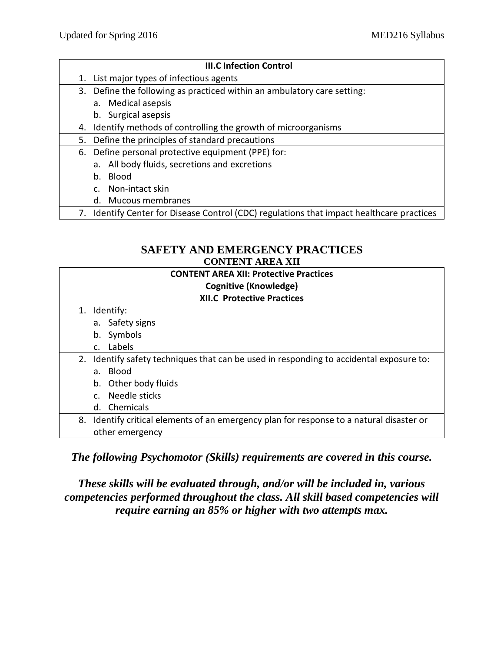|    | <b>III.C Infection Control</b>                                                         |
|----|----------------------------------------------------------------------------------------|
| 1. | List major types of infectious agents                                                  |
| 3. | Define the following as practiced within an ambulatory care setting:                   |
|    | a. Medical asepsis                                                                     |
|    | b. Surgical asepsis                                                                    |
| 4. | Identify methods of controlling the growth of microorganisms                           |
| 5. | Define the principles of standard precautions                                          |
| 6. | Define personal protective equipment (PPE) for:                                        |
|    | a. All body fluids, secretions and excretions                                          |
|    | b. Blood                                                                               |
|    | c. Non-intact skin                                                                     |
|    | d. Mucous membranes                                                                    |
| 7. | Identify Center for Disease Control (CDC) regulations that impact healthcare practices |

## **SAFETY AND EMERGENCY PRACTICES CONTENT AREA XII**

| <b>CONTENT AREA XII: Protective Practices</b><br>Cognitive (Knowledge) |                                                                                       |  |  |  |
|------------------------------------------------------------------------|---------------------------------------------------------------------------------------|--|--|--|
|                                                                        | <b>XII.C Protective Practices</b>                                                     |  |  |  |
| 1.                                                                     | Identify:                                                                             |  |  |  |
|                                                                        | a. Safety signs                                                                       |  |  |  |
|                                                                        | b. Symbols                                                                            |  |  |  |
|                                                                        | c. Labels                                                                             |  |  |  |
| 2.                                                                     | Identify safety techniques that can be used in responding to accidental exposure to:  |  |  |  |
|                                                                        | a. Blood                                                                              |  |  |  |
|                                                                        | b. Other body fluids                                                                  |  |  |  |
|                                                                        | c. Needle sticks                                                                      |  |  |  |
|                                                                        | d. Chemicals                                                                          |  |  |  |
| 8.                                                                     | Identify critical elements of an emergency plan for response to a natural disaster or |  |  |  |
|                                                                        | other emergency                                                                       |  |  |  |

*The following Psychomotor (Skills) requirements are covered in this course.*

*These skills will be evaluated through, and/or will be included in, various competencies performed throughout the class. All skill based competencies will require earning an 85% or higher with two attempts max.*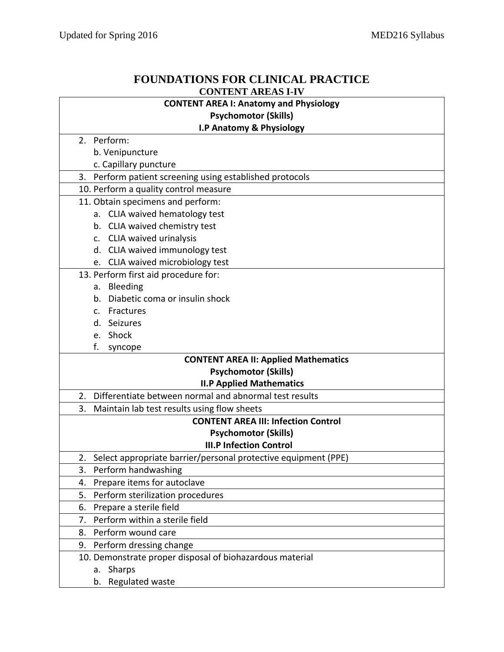## **FOUNDATIONS FOR CLINICAL PRACTICE CONTENT AREAS I-IV**

| <b>CONTENT AREA I: Anatomy and Physiology</b>                                                   |  |  |  |  |
|-------------------------------------------------------------------------------------------------|--|--|--|--|
| <b>Psychomotor (Skills)</b>                                                                     |  |  |  |  |
| I.P Anatomy & Physiology                                                                        |  |  |  |  |
| 2. Perform:                                                                                     |  |  |  |  |
| b. Venipuncture                                                                                 |  |  |  |  |
| c. Capillary puncture                                                                           |  |  |  |  |
| 3. Perform patient screening using established protocols                                        |  |  |  |  |
| 10. Perform a quality control measure                                                           |  |  |  |  |
| 11. Obtain specimens and perform:                                                               |  |  |  |  |
| a. CLIA waived hematology test                                                                  |  |  |  |  |
| b. CLIA waived chemistry test                                                                   |  |  |  |  |
| c. CLIA waived urinalysis                                                                       |  |  |  |  |
| d. CLIA waived immunology test                                                                  |  |  |  |  |
| e. CLIA waived microbiology test                                                                |  |  |  |  |
| 13. Perform first aid procedure for:                                                            |  |  |  |  |
| a. Bleeding                                                                                     |  |  |  |  |
| Diabetic coma or insulin shock<br>b.                                                            |  |  |  |  |
| c. Fractures                                                                                    |  |  |  |  |
| d. Seizures                                                                                     |  |  |  |  |
| e. Shock                                                                                        |  |  |  |  |
| f.<br>syncope                                                                                   |  |  |  |  |
| <b>CONTENT AREA II: Applied Mathematics</b>                                                     |  |  |  |  |
| <b>Psychomotor (Skills)</b>                                                                     |  |  |  |  |
| <b>II.P Applied Mathematics</b>                                                                 |  |  |  |  |
| 2.<br>Differentiate between normal and abnormal test results                                    |  |  |  |  |
| 3.<br>Maintain lab test results using flow sheets<br><b>CONTENT AREA III: Infection Control</b> |  |  |  |  |
| <b>Psychomotor (Skills)</b>                                                                     |  |  |  |  |
| <b>III.P Infection Control</b>                                                                  |  |  |  |  |
| 2. Select appropriate barrier/personal protective equipment (PPE)                               |  |  |  |  |
| 3.<br>Perform handwashing                                                                       |  |  |  |  |
| Prepare items for autoclave<br>4.                                                               |  |  |  |  |
| Perform sterilization procedures<br>5.                                                          |  |  |  |  |
| Prepare a sterile field<br>6.                                                                   |  |  |  |  |
| Perform within a sterile field<br>7.                                                            |  |  |  |  |
| 8. Perform wound care                                                                           |  |  |  |  |
| 9. Perform dressing change                                                                      |  |  |  |  |
| 10. Demonstrate proper disposal of biohazardous material                                        |  |  |  |  |
| Sharps<br>а.                                                                                    |  |  |  |  |
| b. Regulated waste                                                                              |  |  |  |  |
|                                                                                                 |  |  |  |  |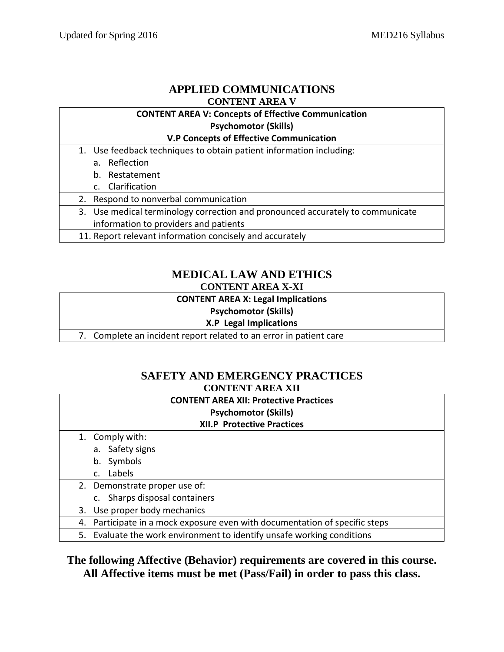## **APPLIED COMMUNICATIONS CONTENT AREA V**

#### **CONTENT AREA V: Concepts of Effective Communication Psychomotor (Skills)**

#### **V.P Concepts of Effective Communication**

- 1. Use feedback techniques to obtain patient information including:
	- a. Reflection
	- b. Restatement
	- c. Clarification
- 2. Respond to nonverbal communication
- 3. Use medical terminology correction and pronounced accurately to communicate information to providers and patients
- 11. Report relevant information concisely and accurately

## **MEDICAL LAW AND ETHICS CONTENT AREA X-XI**

## **CONTENT AREA X: Legal Implications**

#### **Psychomotor (Skills)**

### **X.P Legal Implications**

7. Complete an incident report related to an error in patient care

## **SAFETY AND EMERGENCY PRACTICES CONTENT AREA XII**

## **CONTENT AREA XII: Protective Practices Psychomotor (Skills) XII.P Protective Practices** 1. Comply with: a. Safety signs b. Symbols c. Labels 2. Demonstrate proper use of: c. Sharps disposal containers 3. Use proper body mechanics 4. Participate in a mock exposure even with documentation of specific steps 5. Evaluate the work environment to identify unsafe working conditions

## **The following Affective (Behavior) requirements are covered in this course. All Affective items must be met (Pass/Fail) in order to pass this class.**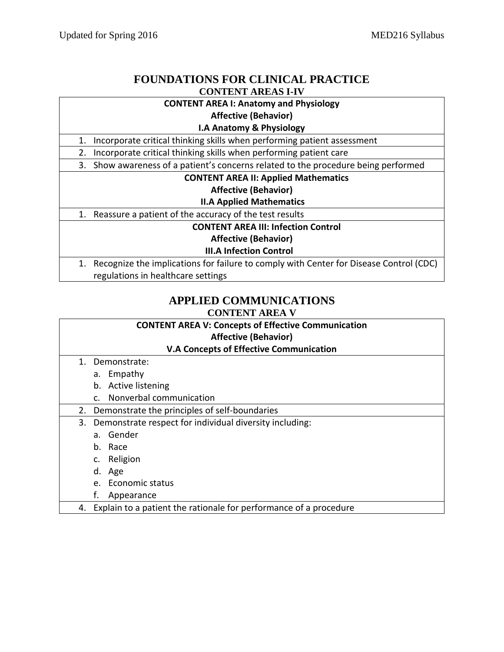## **FOUNDATIONS FOR CLINICAL PRACTICE CONTENT AREAS I-IV**

## **CONTENT AREA I: Anatomy and Physiology**

**Affective (Behavior)**

#### **I.A Anatomy & Physiology**

1. Incorporate critical thinking skills when performing patient assessment

2. Incorporate critical thinking skills when performing patient care

3. Show awareness of a patient's concerns related to the procedure being performed

#### **CONTENT AREA II: Applied Mathematics**

#### **Affective (Behavior)**

 **II.A Applied Mathematics**

1. Reassure a patient of the accuracy of the test results

**CONTENT AREA III: Infection Control**

**Affective (Behavior)**

#### **III.A Infection Control**

1. Recognize the implications for failure to comply with Center for Disease Control (CDC) regulations in healthcare settings

## **APPLIED COMMUNICATIONS CONTENT AREA V**

|    | <b>CONTENT AREA V: Concepts of Effective Communication</b>        |  |  |  |  |
|----|-------------------------------------------------------------------|--|--|--|--|
|    | <b>Affective (Behavior)</b>                                       |  |  |  |  |
|    | <b>V.A Concepts of Effective Communication</b>                    |  |  |  |  |
| 1. | Demonstrate:                                                      |  |  |  |  |
|    | a. Empathy                                                        |  |  |  |  |
|    | <b>Active listening</b><br>b.                                     |  |  |  |  |
|    | Nonverbal communication<br>$\mathsf{C}$                           |  |  |  |  |
| 2. | Demonstrate the principles of self-boundaries                     |  |  |  |  |
| 3. | Demonstrate respect for individual diversity including:           |  |  |  |  |
|    | Gender<br>a.                                                      |  |  |  |  |
|    | Race<br>b.                                                        |  |  |  |  |
|    | Religion<br>c.                                                    |  |  |  |  |
|    | Age<br>d.                                                         |  |  |  |  |
|    | Economic status<br>$e_{\cdot}$                                    |  |  |  |  |
|    | f.<br>Appearance                                                  |  |  |  |  |
| 4. | Explain to a patient the rationale for performance of a procedure |  |  |  |  |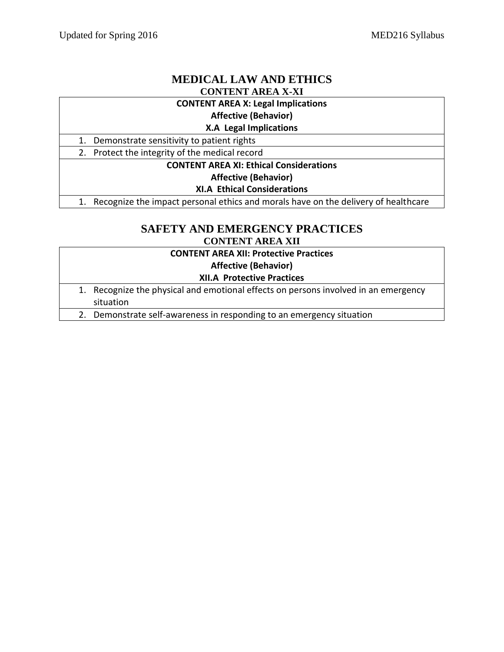## **MEDICAL LAW AND ETHICS CONTENT AREA X-XI**

#### **CONTENT AREA X: Legal Implications**

#### **Affective (Behavior)**

#### **X.A Legal Implications**

1. Demonstrate sensitivity to patient rights

2. Protect the integrity of the medical record

## **CONTENT AREA XI: Ethical Considerations**

#### **Affective (Behavior)**

#### **XI.A Ethical Considerations**

1. Recognize the impact personal ethics and morals have on the delivery of healthcare

## **SAFETY AND EMERGENCY PRACTICES CONTENT AREA XII**

|                                   | <b>CONTENT AREA XII: Protective Practices</b>                                                    |  |
|-----------------------------------|--------------------------------------------------------------------------------------------------|--|
|                                   | <b>Affective (Behavior)</b>                                                                      |  |
| <b>XII.A Protective Practices</b> |                                                                                                  |  |
|                                   | 1. Recognize the physical and emotional effects on persons involved in an emergency<br>situation |  |
| 2.                                | Demonstrate self-awareness in responding to an emergency situation                               |  |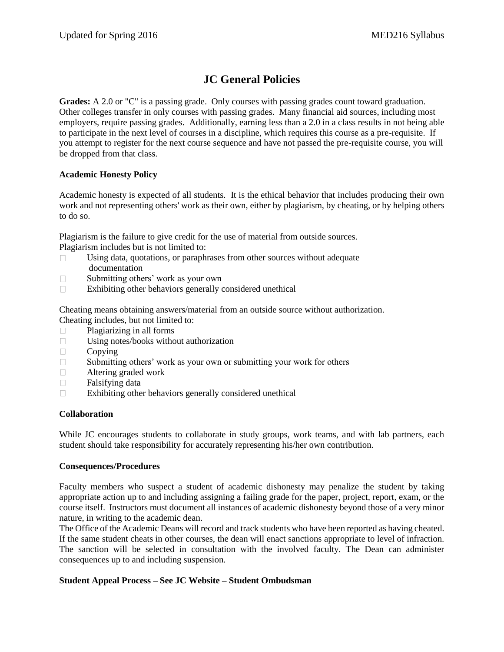# **JC General Policies**

**Grades:** A 2.0 or "C" is a passing grade. Only courses with passing grades count toward graduation. Other colleges transfer in only courses with passing grades. Many financial aid sources, including most employers, require passing grades. Additionally, earning less than a 2.0 in a class results in not being able to participate in the next level of courses in a discipline, which requires this course as a pre-requisite. If you attempt to register for the next course sequence and have not passed the pre-requisite course, you will be dropped from that class.

#### **Academic Honesty Policy**

Academic honesty is expected of all students. It is the ethical behavior that includes producing their own work and not representing others' work as their own, either by plagiarism, by cheating, or by helping others to do so.

Plagiarism is the failure to give credit for the use of material from outside sources. Plagiarism includes but is not limited to:

- $\Box$  Using data, quotations, or paraphrases from other sources without adequate documentation
- □ Submitting others' work as your own
- $\Box$  Exhibiting other behaviors generally considered unethical

Cheating means obtaining answers/material from an outside source without authorization. Cheating includes, but not limited to:

- Plagiarizing in all forms
- Using notes/books without authorization
- $\Box$  Copying
- □ Submitting others' work as your own or submitting your work for others
- Altering graded work
- $\Box$  Falsifying data
- $\Box$  Exhibiting other behaviors generally considered unethical

#### **Collaboration**

While JC encourages students to collaborate in study groups, work teams, and with lab partners, each student should take responsibility for accurately representing his/her own contribution.

#### **Consequences/Procedures**

Faculty members who suspect a student of academic dishonesty may penalize the student by taking appropriate action up to and including assigning a failing grade for the paper, project, report, exam, or the course itself. Instructors must document all instances of academic dishonesty beyond those of a very minor nature, in writing to the academic dean.

The Office of the Academic Deans will record and track students who have been reported as having cheated. If the same student cheats in other courses, the dean will enact sanctions appropriate to level of infraction. The sanction will be selected in consultation with the involved faculty. The Dean can administer consequences up to and including suspension.

#### **Student Appeal Process – See JC Website – Student Ombudsman**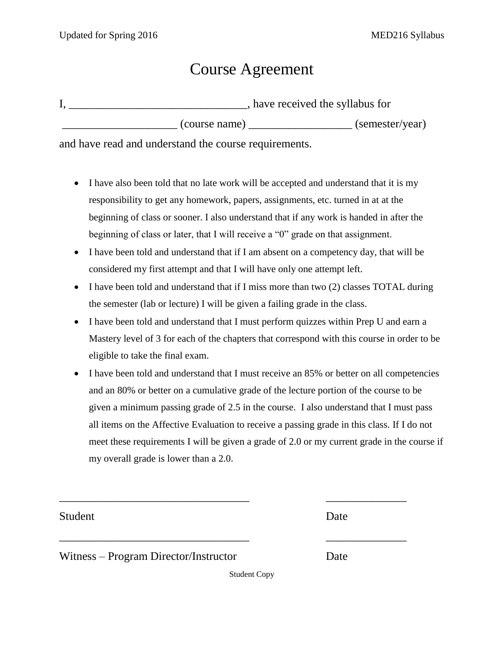# Course Agreement

|  |  |               | , have received the syllabus for |                 |
|--|--|---------------|----------------------------------|-----------------|
|  |  | (course name) |                                  | (semester/year) |
|  |  |               |                                  |                 |

and have read and understand the course requirements.

- I have also been told that no late work will be accepted and understand that it is my responsibility to get any homework, papers, assignments, etc. turned in at at the beginning of class or sooner. I also understand that if any work is handed in after the beginning of class or later, that I will receive a "0" grade on that assignment.
- I have been told and understand that if I am absent on a competency day, that will be considered my first attempt and that I will have only one attempt left.
- I have been told and understand that if I miss more than two (2) classes TOTAL during the semester (lab or lecture) I will be given a failing grade in the class.
- I have been told and understand that I must perform quizzes within Prep U and earn a Mastery level of 3 for each of the chapters that correspond with this course in order to be eligible to take the final exam.
- I have been told and understand that I must receive an 85% or better on all competencies and an 80% or better on a cumulative grade of the lecture portion of the course to be given a minimum passing grade of 2.5 in the course. I also understand that I must pass all items on the Affective Evaluation to receive a passing grade in this class. If I do not meet these requirements I will be given a grade of 2.0 or my current grade in the course if my overall grade is lower than a 2.0.

Student Date

Witness – Program Director/Instructor Date

Student Copy

\_\_\_\_\_\_\_\_\_\_\_\_\_\_\_\_\_\_\_\_\_\_\_\_\_\_\_\_\_\_\_\_\_ \_\_\_\_\_\_\_\_\_\_\_\_\_\_

\_\_\_\_\_\_\_\_\_\_\_\_\_\_\_\_\_\_\_\_\_\_\_\_\_\_\_\_\_\_\_\_\_ \_\_\_\_\_\_\_\_\_\_\_\_\_\_